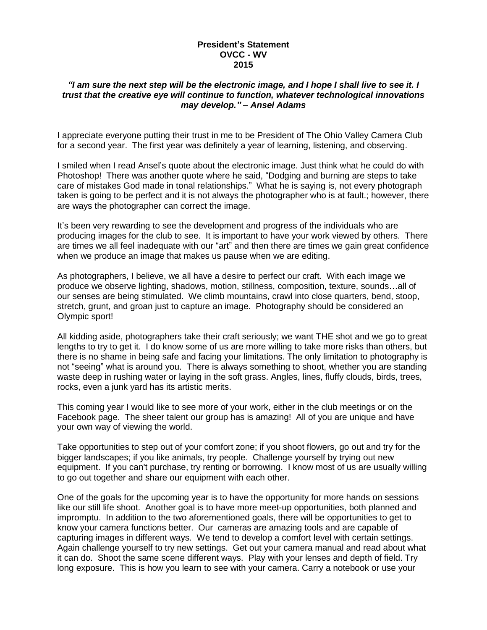## **President's Statement OVCC - WV 2015**

## "I am sure the next step will be the electronic image, and I hope I shall live to see it. I *trust that the creative eye will continue to function, whatever technological innovations may develop." – Ansel Adams*

I appreciate everyone putting their trust in me to be President of The Ohio Valley Camera Club for a second year. The first year was definitely a year of learning, listening, and observing.

I smiled when I read Ansel's quote about the electronic image. Just think what he could do with Photoshop! There was another quote where he said, "Dodging and burning are steps to take care of mistakes God made in tonal relationships." What he is saying is, not every photograph taken is going to be perfect and it is not always the photographer who is at fault.; however, there are ways the photographer can correct the image.

It's been very rewarding to see the development and progress of the individuals who are producing images for the club to see. It is important to have your work viewed by others. There are times we all feel inadequate with our "art" and then there are times we gain great confidence when we produce an image that makes us pause when we are editing.

As photographers, I believe, we all have a desire to perfect our craft. With each image we produce we observe lighting, shadows, motion, stillness, composition, texture, sounds…all of our senses are being stimulated. We climb mountains, crawl into close quarters, bend, stoop, stretch, grunt, and groan just to capture an image. Photography should be considered an Olympic sport!

All kidding aside, photographers take their craft seriously; we want THE shot and we go to great lengths to try to get it. I do know some of us are more willing to take more risks than others, but there is no shame in being safe and facing your limitations. The only limitation to photography is not "seeing" what is around you. There is always something to shoot, whether you are standing waste deep in rushing water or laying in the soft grass. Angles, lines, fluffy clouds, birds, trees, rocks, even a junk yard has its artistic merits.

This coming year I would like to see more of your work, either in the club meetings or on the Facebook page. The sheer talent our group has is amazing! All of you are unique and have your own way of viewing the world.

Take opportunities to step out of your comfort zone; if you shoot flowers, go out and try for the bigger landscapes; if you like animals, try people. Challenge yourself by trying out new equipment. If you can't purchase, try renting or borrowing. I know most of us are usually willing to go out together and share our equipment with each other.

One of the goals for the upcoming year is to have the opportunity for more hands on sessions like our still life shoot. Another goal is to have more meet-up opportunities, both planned and impromptu. In addition to the two aforementioned goals, there will be opportunities to get to know your camera functions better. Our cameras are amazing tools and are capable of capturing images in different ways. We tend to develop a comfort level with certain settings. Again challenge yourself to try new settings. Get out your camera manual and read about what it can do. Shoot the same scene different ways. Play with your lenses and depth of field. Try long exposure. This is how you learn to see with your camera. Carry a notebook or use your